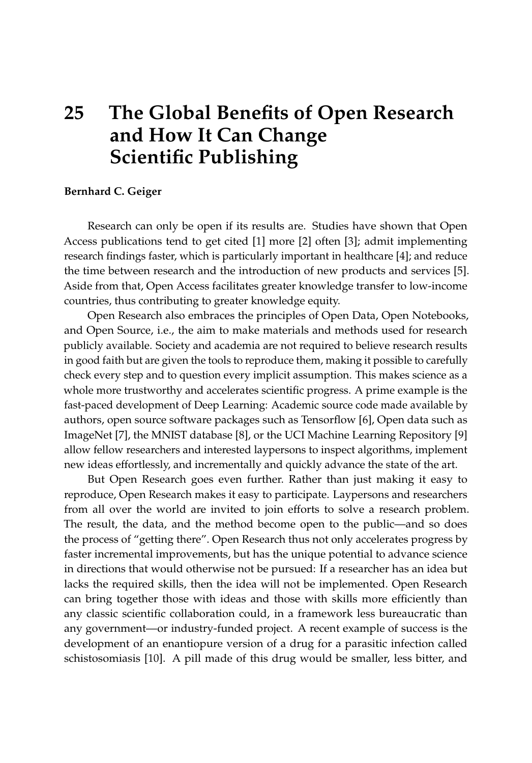## **25 The Global Benefits of Open Research and How It Can Change Scientific Publishing**

## **Bernhard C. Geiger**

Research can only be open if its results are. Studies have shown that Open Access publications tend to get cited [\[1\]](#page-1-0) more [\[2\]](#page-1-1) often [\[3\]](#page-1-2); admit implementing research findings faster, which is particularly important in healthcare [\[4\]](#page-2-0); and reduce the time between research and the introduction of new products and services [\[5\]](#page-2-1). Aside from that, Open Access facilitates greater knowledge transfer to low-income countries, thus contributing to greater knowledge equity.

Open Research also embraces the principles of Open Data, Open Notebooks, and Open Source, i.e., the aim to make materials and methods used for research publicly available. Society and academia are not required to believe research results in good faith but are given the tools to reproduce them, making it possible to carefully check every step and to question every implicit assumption. This makes science as a whole more trustworthy and accelerates scientific progress. A prime example is the fast-paced development of Deep Learning: Academic source code made available by authors, open source software packages such as Tensorflow [\[6\]](#page-2-2), Open data such as ImageNet [\[7\]](#page-2-3), the MNIST database [\[8\]](#page-2-4), or the UCI Machine Learning Repository [\[9\]](#page-2-5) allow fellow researchers and interested laypersons to inspect algorithms, implement new ideas effortlessly, and incrementally and quickly advance the state of the art.

But Open Research goes even further. Rather than just making it easy to reproduce, Open Research makes it easy to participate. Laypersons and researchers from all over the world are invited to join efforts to solve a research problem. The result, the data, and the method become open to the public—and so does the process of "getting there". Open Research thus not only accelerates progress by faster incremental improvements, but has the unique potential to advance science in directions that would otherwise not be pursued: If a researcher has an idea but lacks the required skills, then the idea will not be implemented. Open Research can bring together those with ideas and those with skills more efficiently than any classic scientific collaboration could, in a framework less bureaucratic than any government—or industry-funded project. A recent example of success is the development of an enantiopure version of a drug for a parasitic infection called schistosomiasis [\[10\]](#page-2-6). A pill made of this drug would be smaller, less bitter, and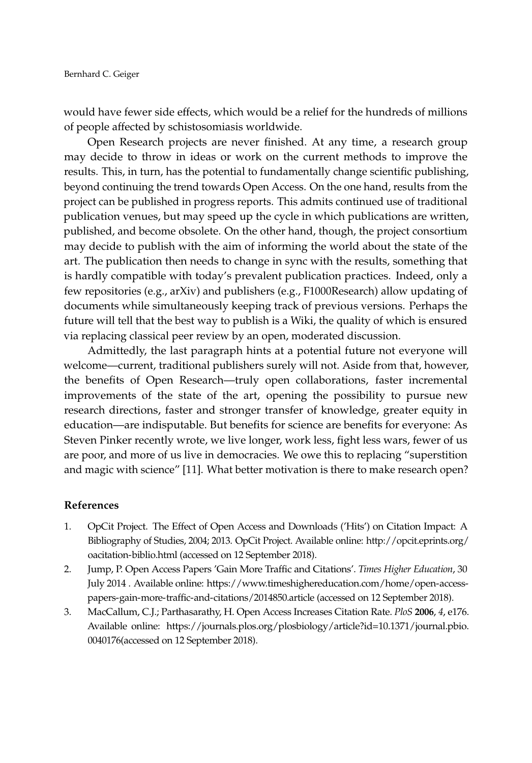would have fewer side effects, which would be a relief for the hundreds of millions of people affected by schistosomiasis worldwide.

Open Research projects are never finished. At any time, a research group may decide to throw in ideas or work on the current methods to improve the results. This, in turn, has the potential to fundamentally change scientific publishing, beyond continuing the trend towards Open Access. On the one hand, results from the project can be published in progress reports. This admits continued use of traditional publication venues, but may speed up the cycle in which publications are written, published, and become obsolete. On the other hand, though, the project consortium may decide to publish with the aim of informing the world about the state of the art. The publication then needs to change in sync with the results, something that is hardly compatible with today's prevalent publication practices. Indeed, only a few repositories (e.g., arXiv) and publishers (e.g., F1000Research) allow updating of documents while simultaneously keeping track of previous versions. Perhaps the future will tell that the best way to publish is a Wiki, the quality of which is ensured via replacing classical peer review by an open, moderated discussion.

Admittedly, the last paragraph hints at a potential future not everyone will welcome—current, traditional publishers surely will not. Aside from that, however, the benefits of Open Research—truly open collaborations, faster incremental improvements of the state of the art, opening the possibility to pursue new research directions, faster and stronger transfer of knowledge, greater equity in education—are indisputable. But benefits for science are benefits for everyone: As Steven Pinker recently wrote, we live longer, work less, fight less wars, fewer of us are poor, and more of us live in democracies. We owe this to replacing "superstition and magic with science" [\[11\]](#page-2-7). What better motivation is there to make research open?

## **References**

- <span id="page-1-0"></span>1. OpCit Project. The Effect of Open Access and Downloads ('Hits') on Citation Impact: A Bibliography of Studies, 2004; 2013. OpCit Project. Available online: [http://opcit.eprints.org/](http://opcit.eprints.org/oacitation-biblio.html) [oacitation-biblio.html](http://opcit.eprints.org/oacitation-biblio.html) (accessed on 12 September 2018).
- <span id="page-1-1"></span>2. Jump, P. Open Access Papers 'Gain More Traffic and Citations'. *Times Higher Education*, 30 July 2014 . Available online: [https://www.timeshighereducation.com/home/open-access](https://www.timeshighereducation.com/home/open-access-papers-gain-more-traffic-and-citations/2014850.article)[papers-gain-more-traffic-and-citations/2014850.article](https://www.timeshighereducation.com/home/open-access-papers-gain-more-traffic-and-citations/2014850.article) (accessed on 12 September 2018).
- <span id="page-1-2"></span>3. MacCallum, C.J.; Parthasarathy, H. Open Access Increases Citation Rate. *PloS* **2006**, *4*, e176. Available online: [https://journals.plos.org/plosbiology/article?id=10.1371/journal.pbio.](https://journals.plos.org/plosbiology/article?id=10.1371/journal.pbio.0040176) [0040176\(](https://journals.plos.org/plosbiology/article?id=10.1371/journal.pbio.0040176)accessed on 12 September 2018).